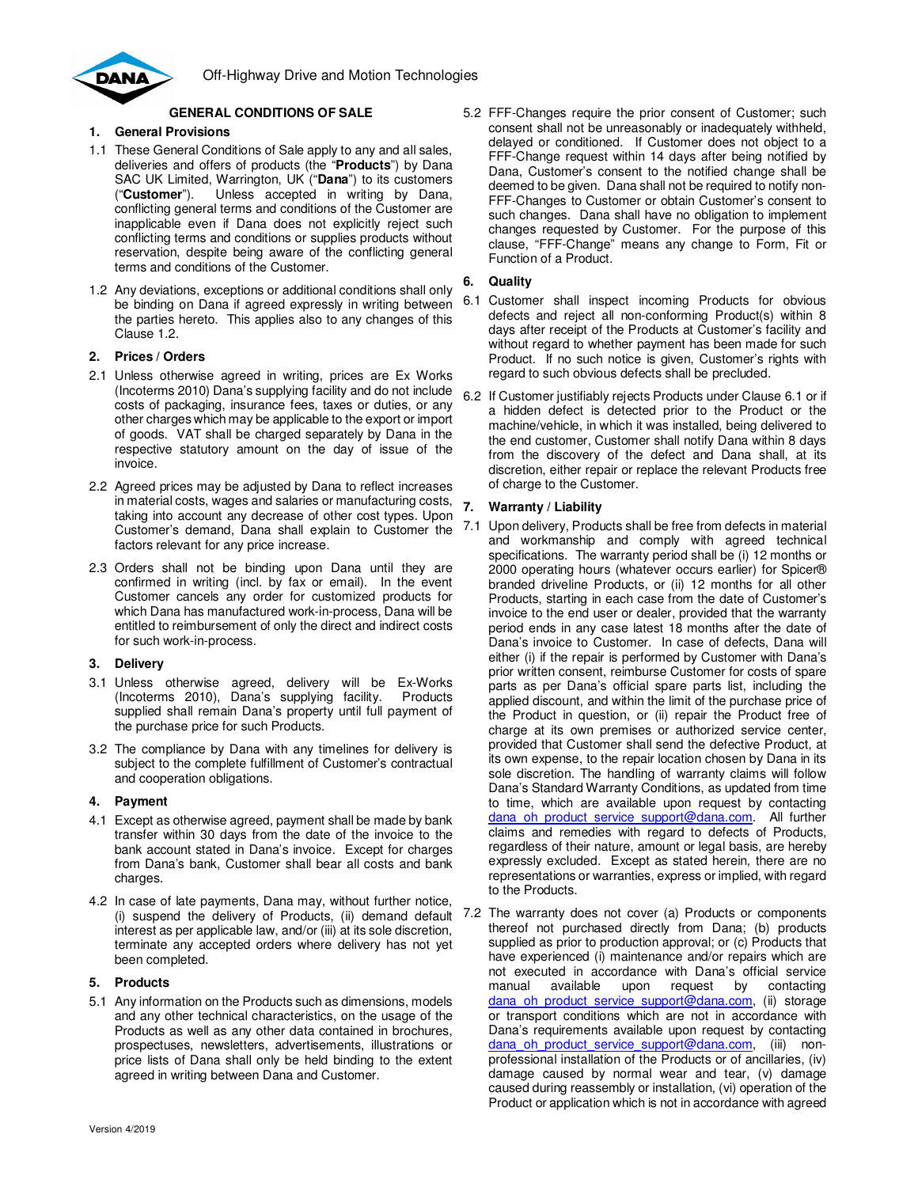



## **GENERAL CONDITIONS OF SALE**

## **1. General Provisions**

- 1.1 These General Conditions of Sale apply to any and all sales, deliveries and offers of products (the "**Products**") by Dana SAC UK Limited, Warrington, UK ("**Dana**") to its customers ("**Customer**"). Unless accepted in writing by Dana, conflicting general terms and conditions of the Customer are inapplicable even if Dana does not explicitly reject such conflicting terms and conditions or supplies products without reservation, despite being aware of the conflicting general terms and conditions of the Customer.
- 1.2 Any deviations, exceptions or additional conditions shall only be binding on Dana if agreed expressly in writing between the parties hereto. This applies also to any changes of this Clause 1.2.

## **2. Prices / Orders**

- 2.1 Unless otherwise agreed in writing, prices are Ex Works (Incoterms 2010) Dana's supplying facility and do not include costs of packaging, insurance fees, taxes or duties, or any other charges which may be applicable to the export or import of goods. VAT shall be charged separately by Dana in the respective statutory amount on the day of issue of the invoice.
- 2.2 Agreed prices may be adjusted by Dana to reflect increases in material costs, wages and salaries or manufacturing costs, taking into account any decrease of other cost types. Upon Customer's demand, Dana shall explain to Customer the factors relevant for any price increase.
- 2.3 Orders shall not be binding upon Dana until they are confirmed in writing (incl. by fax or email). In the event Customer cancels any order for customized products for which Dana has manufactured work-in-process, Dana will be entitled to reimbursement of only the direct and indirect costs for such work-in-process.

## **3. Delivery**

- 3.1 Unless otherwise agreed, delivery will be Ex-Works (Incoterms 2010), Dana's supplying facility. Products supplied shall remain Dana's property until full payment of the purchase price for such Products.
- 3.2 The compliance by Dana with any timelines for delivery is subject to the complete fulfillment of Customer's contractual and cooperation obligations.

# **4. Payment**

- 4.1 Except as otherwise agreed, payment shall be made by bank transfer within 30 days from the date of the invoice to the bank account stated in Dana's invoice. Except for charges from Dana's bank, Customer shall bear all costs and bank charges.
- 4.2 In case of late payments, Dana may, without further notice, (i) suspend the delivery of Products, (ii) demand default interest as per applicable law, and/or (iii) at its sole discretion, terminate any accepted orders where delivery has not yet been completed.

## **5. Products**

5.1 Any information on the Products such as dimensions, models and any other technical characteristics, on the usage of the Products as well as any other data contained in brochures, prospectuses, newsletters, advertisements, illustrations or price lists of Dana shall only be held binding to the extent agreed in writing between Dana and Customer.

5.2 FFF-Changes require the prior consent of Customer; such consent shall not be unreasonably or inadequately withheld, delayed or conditioned. If Customer does not object to a FFF-Change request within 14 days after being notified by Dana, Customer's consent to the notified change shall be deemed to be given. Dana shall not be required to notify non-FFF-Changes to Customer or obtain Customer's consent to such changes. Dana shall have no obligation to implement changes requested by Customer. For the purpose of this clause, "FFF-Change" means any change to Form, Fit or Function of a Product.

## **6. Quality**

- 6.1 Customer shall inspect incoming Products for obvious defects and reject all non-conforming Product(s) within 8 days after receipt of the Products at Customer's facility and without regard to whether payment has been made for such Product. If no such notice is given, Customer's rights with regard to such obvious defects shall be precluded.
- 6.2 If Customer justifiably rejects Products under Clause 6.1 or if a hidden defect is detected prior to the Product or the machine/vehicle, in which it was installed, being delivered to the end customer, Customer shall notify Dana within 8 days from the discovery of the defect and Dana shall, at its discretion, either repair or replace the relevant Products free of charge to the Customer.

## **7. Warranty / Liability**

- 7.1 Upon delivery, Products shall be free from defects in material and workmanship and comply with agreed technical specifications. The warranty period shall be (i) 12 months or 2000 operating hours (whatever occurs earlier) for Spicer® branded driveline Products, or (ii) 12 months for all other Products, starting in each case from the date of Customer's invoice to the end user or dealer, provided that the warranty period ends in any case latest 18 months after the date of Dana's invoice to Customer. In case of defects, Dana will either (i) if the repair is performed by Customer with Dana's prior written consent, reimburse Customer for costs of spare parts as per Dana's official spare parts list, including the applied discount, and within the limit of the purchase price of the Product in question, or (ii) repair the Product free of charge at its own premises or authorized service center, provided that Customer shall send the defective Product, at its own expense, to the repair location chosen by Dana in its sole discretion. The handling of warranty claims will follow Dana's Standard Warranty Conditions, as updated from time to time, which are available upon request by contacting dana\_oh\_product\_service\_support@dana.com. All further claims and remedies with regard to defects of Products, regardless of their nature, amount or legal basis, are hereby expressly excluded. Except as stated herein, there are no representations or warranties, express or implied, with regard to the Products.
- 7.2 The warranty does not cover (a) Products or components thereof not purchased directly from Dana; (b) products supplied as prior to production approval; or (c) Products that have experienced (i) maintenance and/or repairs which are not executed in accordance with Dana's official service manual available upon request by contacting dana oh product service support@dana.com, (ii) storage or transport conditions which are not in accordance with Dana's requirements available upon request by contacting dana oh product service support@dana.com, (iii) nonprofessional installation of the Products or of ancillaries, (iv) damage caused by normal wear and tear, (v) damage caused during reassembly or installation, (vi) operation of the Product or application which is not in accordance with agreed